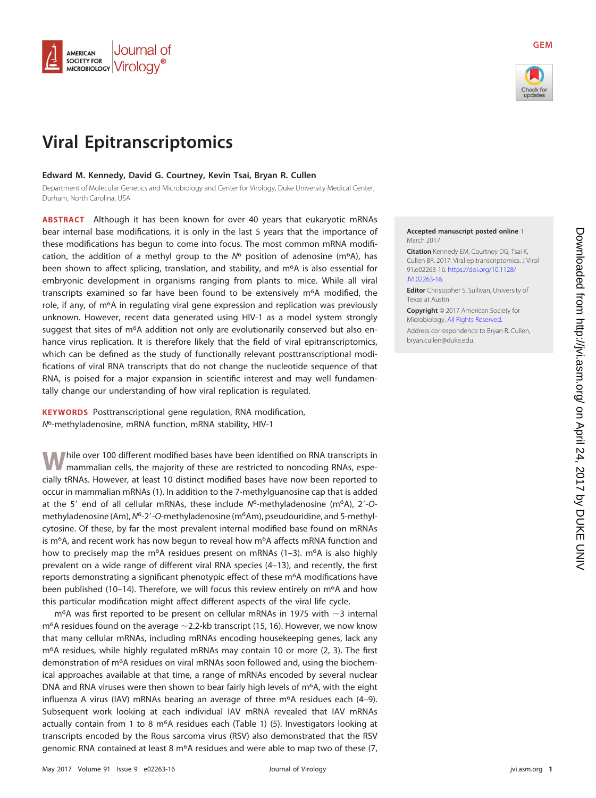

# **Viral Epitranscriptomics**

## **Edward M. Kennedy, David G. Courtney, Kevin Tsai, Bryan R. Cullen**

Department of Molecular Genetics and Microbiology and Center for Virology, Duke University Medical Center, Durham, North Carolina, USA

**ABSTRACT** Although it has been known for over 40 years that eukaryotic mRNAs bear internal base modifications, it is only in the last 5 years that the importance of these modifications has begun to come into focus. The most common mRNA modification, the addition of a methyl group to the  $N^6$  position of adenosine (m<sup>6</sup>A), has been shown to affect splicing, translation, and stability, and  $m<sup>6</sup>A$  is also essential for embryonic development in organisms ranging from plants to mice. While all viral transcripts examined so far have been found to be extensively  $m<sup>6</sup>A$  modified, the role, if any, of m6A in regulating viral gene expression and replication was previously unknown. However, recent data generated using HIV-1 as a model system strongly suggest that sites of  $m<sup>6</sup>A$  addition not only are evolutionarily conserved but also enhance virus replication. It is therefore likely that the field of viral epitranscriptomics, which can be defined as the study of functionally relevant posttranscriptional modifications of viral RNA transcripts that do not change the nucleotide sequence of that RNA, is poised for a major expansion in scientific interest and may well fundamentally change our understanding of how viral replication is regulated.

**KEYWORDS** Posttranscriptional gene regulation, RNA modification, N6-methyladenosine, mRNA function, mRNA stability, HIV-1

**W**hile over 100 different modified bases have been identified on RNA transcripts in mammalian cells, the majority of these are restricted to noncoding RNAs, especially tRNAs. However, at least 10 distinct modified bases have now been reported to occur in mammalian mRNAs [\(1\)](#page-7-0). In addition to the 7-methylguanosine cap that is added at the 5' end of all cellular mRNAs, these include  $N^6$ -methyladenosine (m<sup>6</sup>A), 2'-Omethyladenosine (Am), N<sup>6</sup>-2'-O-methyladenosine (m<sup>6</sup>Am), pseudouridine, and 5-methylcytosine. Of these, by far the most prevalent internal modified base found on mRNAs is m<sup>6</sup>A, and recent work has now begun to reveal how m<sup>6</sup>A affects mRNA function and how to precisely map the m<sup>6</sup>A residues present on mRNAs [\(1](#page-7-0)-[3\)](#page-7-2). m<sup>6</sup>A is also highly prevalent on a wide range of different viral RNA species [\(4](#page-7-3)[–](#page-7-4)[13\)](#page-7-5), and recently, the first reports demonstrating a significant phenotypic effect of these  $m<sup>6</sup>A$  modifications have been published [\(10](#page-7-6)[–](#page-7-5)[14\)](#page-7-7). Therefore, we will focus this review entirely on  $m<sup>6</sup>A$  and how this particular modification might affect different aspects of the viral life cycle.

 $m<sup>6</sup>A$  was first reported to be present on cellular mRNAs in 1975 with  $\sim$ 3 internal  $m<sup>6</sup>A$  residues found on the average  $\sim$  2.2-kb transcript [\(15,](#page-7-8) [16\)](#page-7-9). However, we now know that many cellular mRNAs, including mRNAs encoding housekeeping genes, lack any m6A residues, while highly regulated mRNAs may contain 10 or more [\(2,](#page-7-1) [3\)](#page-7-2). The first demonstration of m6A residues on viral mRNAs soon followed and, using the biochemical approaches available at that time, a range of mRNAs encoded by several nuclear DNA and RNA viruses were then shown to bear fairly high levels of  $m<sup>6</sup>A$ , with the eight influenza A virus (IAV) mRNAs bearing an average of three m<sup>6</sup>A residues each [\(4](#page-7-3)[–](#page-7-10)[9\)](#page-7-11). Subsequent work looking at each individual IAV mRNA revealed that IAV mRNAs actually contain from 1 to 8 m<sup>6</sup>A residues each [\(Table 1\)](#page-1-0) [\(5\)](#page-7-12). Investigators looking at transcripts encoded by the Rous sarcoma virus (RSV) also demonstrated that the RSV genomic RNA contained at least 8 m<sup>6</sup>A residues and were able to map two of these [\(7,](#page-7-13)



**GEM**

## **Accepted manuscript posted online** 1 March 2017

**Citation** Kennedy EM, Courtney DG, Tsai K, Cullen BR. 2017. Viral epitranscriptomics. J Virol 91:e02263-16. [https://doi.org/10.1128/](https://doi.org/10.1128/JVI.02263-16) [JVI.02263-16.](https://doi.org/10.1128/JVI.02263-16)

**Editor** Christopher S. Sullivan, University of Texas at Austin

**Copyright** © 2017 American Society for Microbiology. [All Rights Reserved.](https://doi.org/10.1128/ASMCopyrightv1) Address correspondence to Bryan R. Cullen, [bryan.cullen@duke.edu.](mailto:bryan.cullen@duke.edu)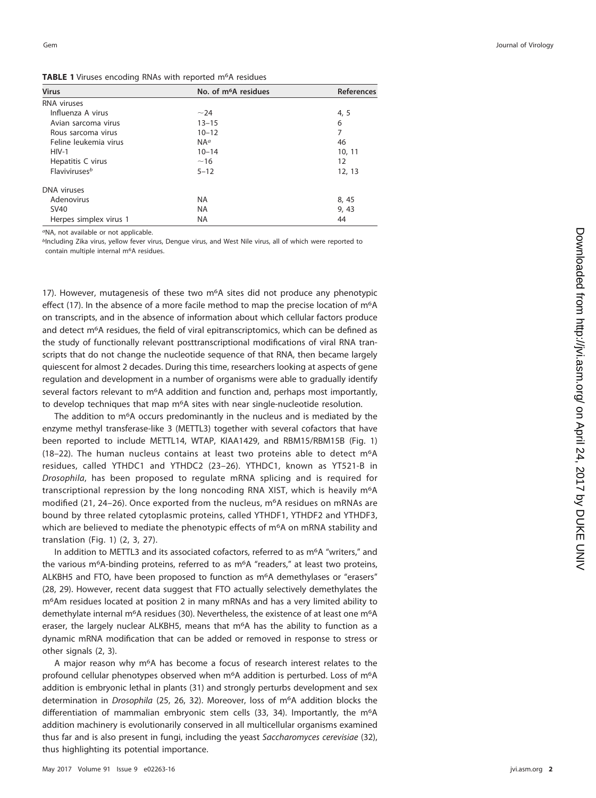<span id="page-1-0"></span>

| <b>Virus</b>                     | No. of m <sup>6</sup> A residues | <b>References</b> |
|----------------------------------|----------------------------------|-------------------|
| <b>RNA</b> viruses               |                                  |                   |
| Influenza A virus                | $~1$ -24                         | 4, 5              |
| Avian sarcoma virus              | $13 - 15$                        | 6                 |
| Rous sarcoma virus               | $10 - 12$                        | 7                 |
| Feline leukemia virus            | $NA^a$                           | 46                |
| $HIV-1$                          | $10 - 14$                        | 10, 11            |
| Hepatitis C virus                | ~16                              | 12                |
| <b>Flaviviruses</b> <sup>b</sup> | $5 - 12$                         | 12, 13            |
| DNA viruses                      |                                  |                   |
| Adenovirus                       | <b>NA</b>                        | 8, 45             |
| <b>SV40</b>                      | <b>NA</b>                        | 9,43              |
| Herpes simplex virus 1           | <b>NA</b>                        | 44                |

aNA, not available or not applicable.

<sup>b</sup>Including Zika virus, yellow fever virus, Dengue virus, and West Nile virus, all of which were reported to contain multiple internal m 6A residues.

[17\)](#page-7-14). However, mutagenesis of these two m<sup>6</sup>A sites did not produce any phenotypic effect [\(17\)](#page-7-14). In the absence of a more facile method to map the precise location of m<sup>6</sup>A on transcripts, and in the absence of information about which cellular factors produce and detect m<sup>6</sup>A residues, the field of viral epitranscriptomics, which can be defined as the study of functionally relevant posttranscriptional modifications of viral RNA transcripts that do not change the nucleotide sequence of that RNA, then became largely quiescent for almost 2 decades. During this time, researchers looking at aspects of gene regulation and development in a number of organisms were able to gradually identify several factors relevant to m<sup>6</sup>A addition and function and, perhaps most importantly, to develop techniques that map m<sup>6</sup>A sites with near single-nucleotide resolution.

The addition to m<sup>6</sup>A occurs predominantly in the nucleus and is mediated by the enzyme methyl transferase-like 3 (METTL3) together with several cofactors that have been reported to include METTL14, WTAP, KIAA1429, and RBM15/RBM15B [\(Fig. 1](#page-2-0) ) [\(18](#page-7-15)[–](#page-7-16)[22\)](#page-7-17). The human nucleus contains at least two proteins able to detect m 6 A residues, called YTHDC1 and YTHDC2 [\(23](#page-7-18)[–](#page-7-19)[26\)](#page-7-20). YTHDC1, known as YT521-B in Drosophila , has been proposed to regulate mRNA splicing and is required for transcriptional repression by the long noncoding RNA XIST, which is heavily m<sup>6</sup>A modified [\(21](#page-7-16) , [24](#page-7-21)[–](#page-7-19)[26\)](#page-7-20). Once exported from the nucleus, m 6A residues on mRNAs are bound by three related cytoplasmic proteins, called YTHDF1, YTHDF2 and YTHDF3, which are believed to mediate the phenotypic effects of m<sup>6</sup>A on mRNA stability and translation [\(Fig. 1\)](#page-2-0) ( [2](#page-7-1) , [3](#page-7-2) , [27\)](#page-8-0).

In addition to METTL3 and its associated cofactors, referred to as m<sup>6</sup>A "writers," and the various m<sup>6</sup>A-binding proteins, referred to as m<sup>6</sup>A "readers," at least two proteins, ALKBH5 and FTO, have been proposed to function as m 6A demethylases or "erasers" [\(28](#page-8-1) , [29\)](#page-8-2). However, recent data suggest that FTO actually selectively demethylates the m 6Am residues located at position 2 in many mRNAs and has a very limited ability to demethylate internal m<sup>6</sup>A residues [\(30\)](#page-8-3). Nevertheless, the existence of at least one m<sup>6</sup>A eraser, the largely nuclear ALKBH5, means that m<sup>6</sup>A has the ability to function as a dynamic mRNA modification that can be added or removed in response to stress or other signals ( [2](#page-7-1) , [3\)](#page-7-2).

A major reason why m<sup>6</sup>A has become a focus of research interest relates to the profound cellular phenotypes observed when m<sup>6</sup>A addition is perturbed. Loss of m<sup>6</sup>A addition is embryonic lethal in plants [\(31\)](#page-8-4) and strongly perturbs development and sex determination in Drosophila [\(25](#page-7-19), [26](#page-7-20), [32\)](#page-8-5). Moreover, loss of m<sup>6</sup>A addition blocks the differentiation of mammalian embryonic stem cells [\(33](#page-8-6), [34\)](#page-8-7). Importantly, the m<sup>6</sup>A addition machinery is evolutionarily conserved in all multicellular organisms examined thus far and is also present in fungi, including the yeast Saccharomyces cerevisiae [\(32\)](#page-8-5), thus highlighting its potential importance.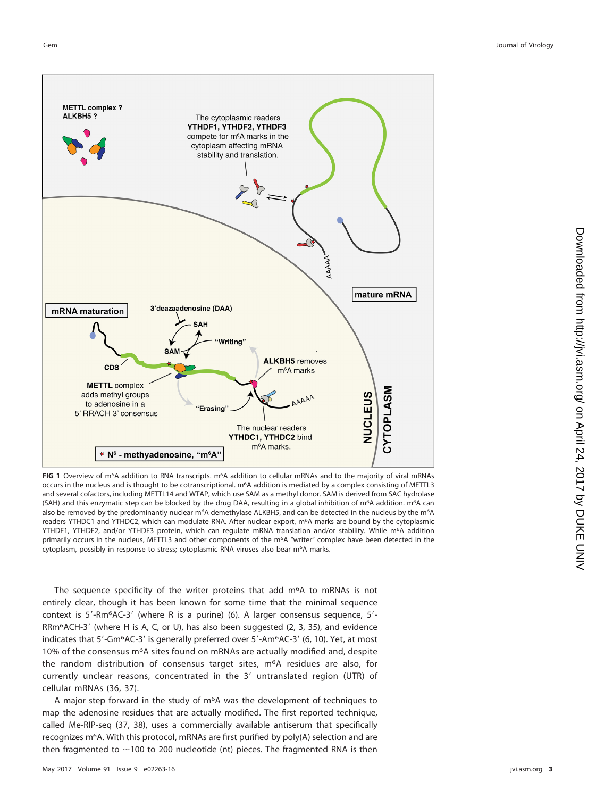

<span id="page-2-0"></span>**FIG 1** Overview of m6A addition to RNA transcripts. m6A addition to cellular mRNAs and to the majority of viral mRNAs occurs in the nucleus and is thought to be cotranscriptional. m<sup>6</sup>A addition is mediated by a complex consisting of METTL3 and several cofactors, including METTL14 and WTAP, which use SAM as a methyl donor. SAM is derived from SAC hydrolase (SAH) and this enzymatic step can be blocked by the drug DAA, resulting in a global inhibition of m<sup>6</sup>A addition. m<sup>6</sup>A can also be removed by the predominantly nuclear m<sup>6</sup>A demethylase ALKBH5, and can be detected in the nucleus by the m<sup>6</sup>A readers YTHDC1 and YTHDC2, which can modulate RNA. After nuclear export, m<sup>6</sup>A marks are bound by the cytoplasmic YTHDF1, YTHDF2, and/or YTHDF3 protein, which can regulate mRNA translation and/or stability. While m<sup>6</sup>A addition primarily occurs in the nucleus, METTL3 and other components of the m<sup>6</sup>A "writer" complex have been detected in the cytoplasm, possibly in response to stress; cytoplasmic RNA viruses also bear m<sup>6</sup>A marks.

The sequence specificity of the writer proteins that add m<sup>6</sup>A to mRNAs is not entirely clear, though it has been known for some time that the minimal sequence context is  $5'-Rm^6AC-3'$  (where R is a purine) [\(6\)](#page-7-22). A larger consensus sequence,  $5'-$ RRm $6$ ACH-3' (where H is A, C, or U), has also been suggested [\(2,](#page-7-1) [3,](#page-7-2) [35\)](#page-8-12), and evidence indicates that 5'-Gm<sup>6</sup>AC-3' is generally preferred over 5'-Am<sup>6</sup>AC-3' [\(6,](#page-7-22) [10\)](#page-7-6). Yet, at most 10% of the consensus m6A sites found on mRNAs are actually modified and, despite the random distribution of consensus target sites, m<sup>6</sup>A residues are also, for currently unclear reasons, concentrated in the 3' untranslated region (UTR) of cellular mRNAs [\(36,](#page-8-13) [37\)](#page-8-14).

A major step forward in the study of m6A was the development of techniques to map the adenosine residues that are actually modified. The first reported technique, called Me-RIP-seq [\(37,](#page-8-14) [38\)](#page-8-15), uses a commercially available antiserum that specifically recognizes m6A. With this protocol, mRNAs are first purified by poly(A) selection and are then fragmented to  $\sim$ 100 to 200 nucleotide (nt) pieces. The fragmented RNA is then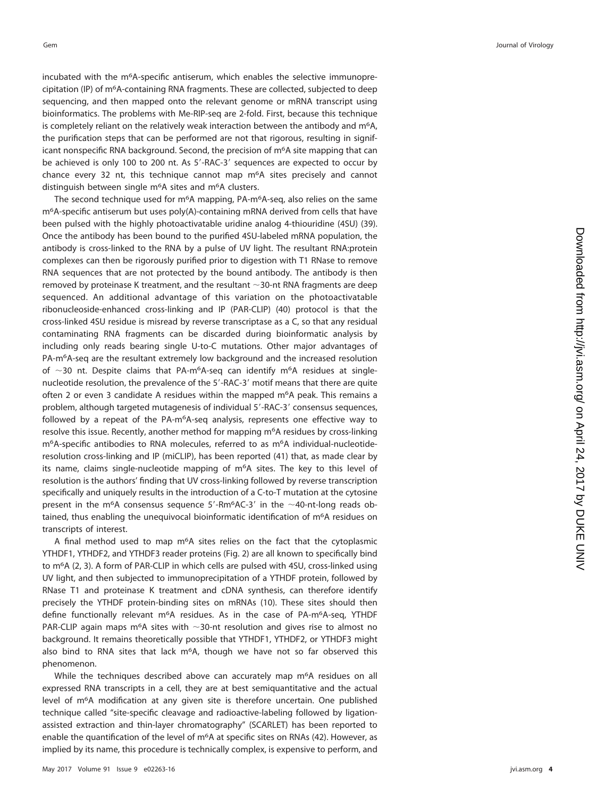incubated with the m 6A-specific antiserum, which enables the selective immunoprecipitation (IP) of m6A-containing RNA fragments. These are collected, subjected to deep sequencing, and then mapped onto the relevant genome or mRNA transcript using bioinformatics. The problems with Me-RIP-seq are 2-fold. First, because this technique is completely reliant on the relatively weak interaction between the antibody and m<sup>6</sup>A, the purification steps that can be performed are not that rigorous, resulting in significant nonspecific RNA background. Second, the precision of  $m<sup>6</sup>A$  site mapping that can be achieved is only 100 to 200 nt. As 5'-RAC-3' sequences are expected to occur by chance every 32 nt, this technique cannot map m<sup>6</sup>A sites precisely and cannot distinguish between single m<sup>6</sup>A sites and m<sup>6</sup>A clusters.

The second technique used for m<sup>6</sup>A mapping, PA-m<sup>6</sup>A-seq, also relies on the same m 6A-specific antiserum but uses poly(A)-containing mRNA derived from cells that have been pulsed with the highly photoactivatable uridine analog 4-thiouridine (4SU) [\(39\)](#page-8-16). Once the antibody has been bound to the purified 4SU-labeled mRNA population, the antibody is cross-linked to the RNA by a pulse of UV light. The resultant RNA:protein complexes can then be rigorously purified prior to digestion with T1 RNase to remove RNA sequences that are not protected by the bound antibody. The antibody is then removed by proteinase K treatment, and the resultant  $\sim$ 30-nt RNA fragments are deep sequenced. An additional advantage of this variation on the photoactivatable ribonucleoside-enhanced cross-linking and IP (PAR-CLIP) [\(40\)](#page-8-17) protocol is that the cross-linked 4SU residue is misread by reverse transcriptase as a C, so that any residual contaminating RNA fragments can be discarded during bioinformatic analysis by including only reads bearing single U-to-C mutations. Other major advantages of PA-m 6A-seq are the resultant extremely low background and the increased resolution of  $\sim$ 30 nt. Despite claims that PA-m<sup>6</sup>A-seq can identify m<sup>6</sup>A residues at singlenucleotide resolution, the prevalence of the 5'-RAC-3' motif means that there are quite often 2 or even 3 candidate A residues within the mapped m<sup>6</sup>A peak. This remains a problem, although targeted mutagenesis of individual 5'-RAC-3' consensus sequences, followed by a repeat of the PA-m<sup>6</sup>A-seq analysis, represents one effective way to resolve this issue. Recently, another method for mapping m<sup>6</sup>A residues by cross-linking m 6A-specific antibodies to RNA molecules, referred to as m 6A individual-nucleotideresolution cross-linking and IP (miCLIP), has been reported [\(41\)](#page-8-18) that, as made clear by its name, claims single-nucleotide mapping of m 6A sites. The key to this level of resolution is the authors' finding that UV cross-linking followed by reverse transcription specifically and uniquely results in the introduction of a C-to-T mutation at the cytosine present in the m<sup>6</sup>A consensus sequence  $5'$ -Rm<sup>6</sup>AC-3' in the  $\sim$ 40-nt-long reads obtained, thus enabling the unequivocal bioinformatic identification of  $m<sup>6</sup>A$  residues on transcripts of interest.

A final method used to map m<sup>6</sup>A sites relies on the fact that the cytoplasmic YTHDF1, YTHDF2, and YTHDF3 reader proteins [\(Fig. 2\)](#page-4-0) are all known to specifically bind to m<sup>6</sup>A ([2](#page-7-1), [3\)](#page-7-2). A form of PAR-CLIP in which cells are pulsed with 4SU, cross-linked using UV light, and then subjected to immunoprecipitation of a YTHDF protein, followed by RNase T1 and proteinase K treatment and cDNA synthesis, can therefore identify precisely the YTHDF protein-binding sites on mRNAs [\(10\)](#page-7-6). These sites should then define functionally relevant m<sup>6</sup>A residues. As in the case of PA-m<sup>6</sup>A-seq, YTHDF PAR-CLIP again maps m<sup>6</sup>A sites with  $\sim$ 30-nt resolution and gives rise to almost no background. It remains theoretically possible that YTHDF1, YTHDF2, or YTHDF3 might also bind to RNA sites that lack m<sup>6</sup>A, though we have not so far observed this phenomenon.

While the techniques described above can accurately map m<sup>6</sup>A residues on all expressed RNA transcripts in a cell, they are at best semiquantitative and the actual level of m 6A modification at any given site is therefore uncertain. One published technique called "site-specific cleavage and radioactive-labeling followed by ligationassisted extraction and thin-layer chromatography" (SCARLET) has been reported to enable the quantification of the level of m<sup>6</sup>A at specific sites on RNAs [\(42\)](#page-8-19). However, as implied by its name, this procedure is technically complex, is expensive to perform, and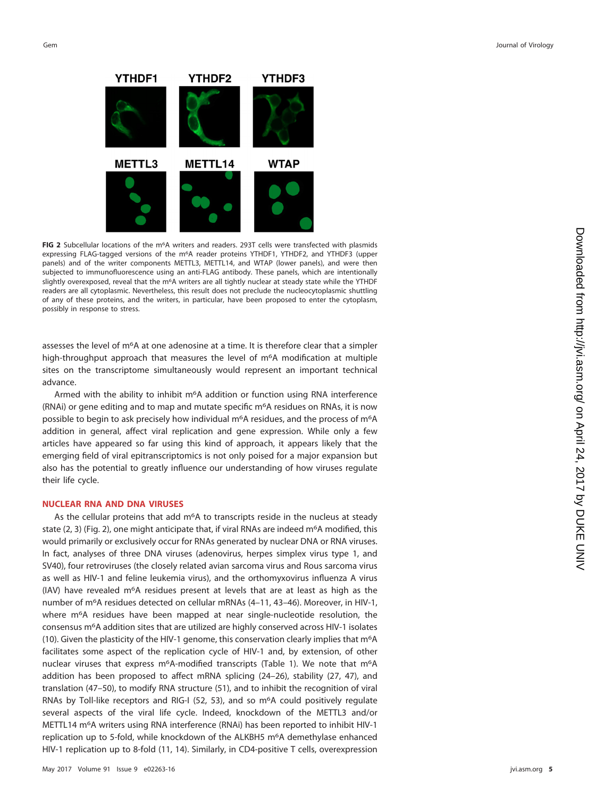

<span id="page-4-0"></span>FIG 2 Subcellular locations of the m<sup>6</sup>A writers and readers. 293T cells were transfected with plasmids expressing FLAG-tagged versions of the m6A reader proteins YTHDF1, YTHDF2, and YTHDF3 (upper panels) and of the writer components METTL3, METTL14, and WTAP (lower panels), and were then subjected to immunofluorescence using an anti-FLAG antibody. These panels, which are intentionally slightly overexposed, reveal that the m<sup>6</sup>A writers are all tightly nuclear at steady state while the YTHDF readers are all cytoplasmic. Nevertheless, this result does not preclude the nucleocytoplasmic shuttling of any of these proteins, and the writers, in particular, have been proposed to enter the cytoplasm, possibly in response to stress.

assesses the level of m6A at one adenosine at a time. It is therefore clear that a simpler high-throughput approach that measures the level of m<sup>6</sup>A modification at multiple sites on the transcriptome simultaneously would represent an important technical advance.

Armed with the ability to inhibit m6A addition or function using RNA interference (RNAi) or gene editing and to map and mutate specific  $m<sup>6</sup>A$  residues on RNAs, it is now possible to begin to ask precisely how individual m<sup>6</sup>A residues, and the process of m<sup>6</sup>A addition in general, affect viral replication and gene expression. While only a few articles have appeared so far using this kind of approach, it appears likely that the emerging field of viral epitranscriptomics is not only poised for a major expansion but also has the potential to greatly influence our understanding of how viruses regulate their life cycle.

#### **NUCLEAR RNA AND DNA VIRUSES**

As the cellular proteins that add m<sup>6</sup>A to transcripts reside in the nucleus at steady state  $(2, 3)$  $(2, 3)$  $(2, 3)$  [\(Fig. 2\)](#page-4-0), one might anticipate that, if viral RNAs are indeed m<sup>6</sup>A modified, this would primarily or exclusively occur for RNAs generated by nuclear DNA or RNA viruses. In fact, analyses of three DNA viruses (adenovirus, herpes simplex virus type 1, and SV40), four retroviruses (the closely related avian sarcoma virus and Rous sarcoma virus as well as HIV-1 and feline leukemia virus), and the orthomyxovirus influenza A virus (IAV) have revealed m<sup>6</sup>A residues present at levels that are at least as high as the number of m6A residues detected on cellular mRNAs [\(4](#page-7-3)[–](#page-7-6)[11,](#page-7-23) [43](#page-8-10)[–](#page-8-9)[46\)](#page-8-8). Moreover, in HIV-1, where m6A residues have been mapped at near single-nucleotide resolution, the consensus m6A addition sites that are utilized are highly conserved across HIV-1 isolates [\(10\)](#page-7-6). Given the plasticity of the HIV-1 genome, this conservation clearly implies that m6A facilitates some aspect of the replication cycle of HIV-1 and, by extension, of other nuclear viruses that express m<sup>6</sup>A-modified transcripts [\(Table 1\)](#page-1-0). We note that m<sup>6</sup>A addition has been proposed to affect mRNA splicing [\(24](#page-7-21)[–](#page-7-19)[26\)](#page-7-20), stability [\(27,](#page-8-0) [47\)](#page-8-20), and translation [\(47](#page-8-20)[–](#page-8-21)[50\)](#page-8-22), to modify RNA structure [\(51\)](#page-8-23), and to inhibit the recognition of viral RNAs by Toll-like receptors and RIG-I [\(52,](#page-8-24) [53\)](#page-8-25), and so m<sup>6</sup>A could positively regulate several aspects of the viral life cycle. Indeed, knockdown of the METTL3 and/or METTL14 m6A writers using RNA interference (RNAi) has been reported to inhibit HIV-1 replication up to 5-fold, while knockdown of the ALKBH5 m<sup>6</sup>A demethylase enhanced HIV-1 replication up to 8-fold [\(11,](#page-7-23) [14\)](#page-7-7). Similarly, in CD4-positive T cells, overexpression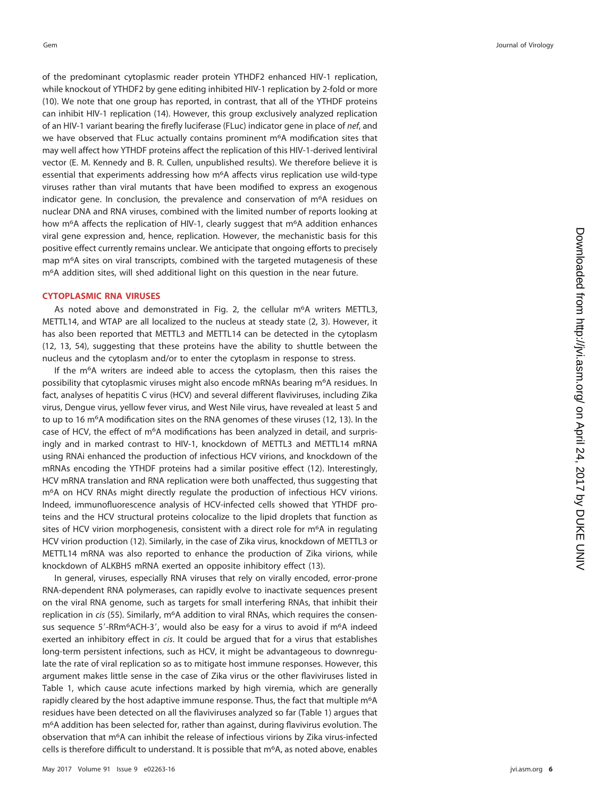of the predominant cytoplasmic reader protein YTHDF2 enhanced HIV-1 replication, while knockout of YTHDF2 by gene editing inhibited HIV-1 replication by 2-fold or more [\(10\)](#page-7-6). We note that one group has reported, in contrast, that all of the YTHDF proteins can inhibit HIV-1 replication [\(14\)](#page-7-7). However, this group exclusively analyzed replication of an HIV-1 variant bearing the firefly luciferase (FLuc) indicator gene in place of nef, and we have observed that FLuc actually contains prominent m<sup>6</sup>A modification sites that may well affect how YTHDF proteins affect the replication of this HIV-1-derived lentiviral vector (E. M. Kennedy and B. R. Cullen, unpublished results). We therefore believe it is essential that experiments addressing how m<sup>6</sup>A affects virus replication use wild-type viruses rather than viral mutants that have been modified to express an exogenous indicator gene. In conclusion, the prevalence and conservation of m 6A residues on nuclear DNA and RNA viruses, combined with the limited number of reports looking at how m<sup>6</sup>A affects the replication of HIV-1, clearly suggest that m<sup>6</sup>A addition enhances viral gene expression and, hence, replication. However, the mechanistic basis for this positive effect currently remains unclear. We anticipate that ongoing efforts to precisely map m 6A sites on viral transcripts, combined with the targeted mutagenesis of these m 6A addition sites, will shed additional light on this question in the near future.

#### **CYTOPLASMIC RNA VIRUSES**

As noted above and demonstrated in [Fig. 2,](#page-4-0) the cellular m<sup>6</sup>A writers METTL3, METTL14, and WTAP are all localized to the nucleus at steady state ([2](#page-7-1), [3\)](#page-7-2). However, it has also been reported that METTL3 and METTL14 can be detected in the cytoplasm [\(12,](#page-7-4) [13,](#page-7-5) [54\)](#page-8-26), suggesting that these proteins have the ability to shuttle between the nucleus and the cytoplasm and/or to enter the cytoplasm in response to stress.

If the m<sup>6</sup>A writers are indeed able to access the cytoplasm, then this raises the possibility that cytoplasmic viruses might also encode mRNAs bearing m 6A residues. In fact, analyses of hepatitis C virus (HCV) and several different flaviviruses, including Zika virus, Dengue virus, yellow fever virus, and West Nile virus, have revealed at least 5 and to up to 16 m<sup>6</sup>A modification sites on the RNA genomes of these viruses [\(12](#page-7-4), [13\)](#page-7-5). In the case of HCV, the effect of m<sup>6</sup>A modifications has been analyzed in detail, and surprisingly and in marked contrast to HIV-1, knockdown of METTL3 and METTL14 mRNA using RNAi enhanced the production of infectious HCV virions, and knockdown of the mRNAs encoding the YTHDF proteins had a similar positive effect [\(12\)](#page-7-4). Interestingly, HCV mRNA translation and RNA replication were both unaffected, thus suggesting that m6A on HCV RNAs might directly regulate the production of infectious HCV virions. Indeed, immunofluorescence analysis of HCV-infected cells showed that YTHDF proteins and the HCV structural proteins colocalize to the lipid droplets that function as sites of HCV virion morphogenesis, consistent with a direct role for m<sup>6</sup>A in regulating HCV virion production [\(12\)](#page-7-4). Similarly, in the case of Zika virus, knockdown of METTL3 or METTL14 mRNA was also reported to enhance the production of Zika virions, while knockdown of ALKBH5 mRNA exerted an opposite inhibitory effect [\(13\)](#page-7-5).

In general, viruses, especially RNA viruses that rely on virally encoded, error-prone RNA-dependent RNA polymerases, can rapidly evolve to inactivate sequences present on the viral RNA genome, such as targets for small interfering RNAs, that inhibit their replication in cis [\(55\)](#page-8-27). Similarly, m<sup>6</sup>A addition to viral RNAs, which requires the consensus sequence  $5'-RRm<sup>6</sup>ACH-3'$ , would also be easy for a virus to avoid if m<sup>6</sup>A indeed exerted an inhibitory effect in cis. It could be argued that for a virus that establishes long-term persistent infections, such as HCV, it might be advantageous to downregulate the rate of viral replication so as to mitigate host immune responses. However, this argument makes little sense in the case of Zika virus or the other flaviviruses listed in [Table 1,](#page-1-0) which cause acute infections marked by high viremia, which are generally rapidly cleared by the host adaptive immune response. Thus, the fact that multiple m<sup>6</sup>A residues have been detected on all the flaviviruses analyzed so far [\(Table 1\)](#page-1-0) argues that m6A addition has been selected for, rather than against, during flavivirus evolution. The observation that m 6A can inhibit the release of infectious virions by Zika virus-infected cells is therefore difficult to understand. It is possible that m<sup>6</sup>A, as noted above, enables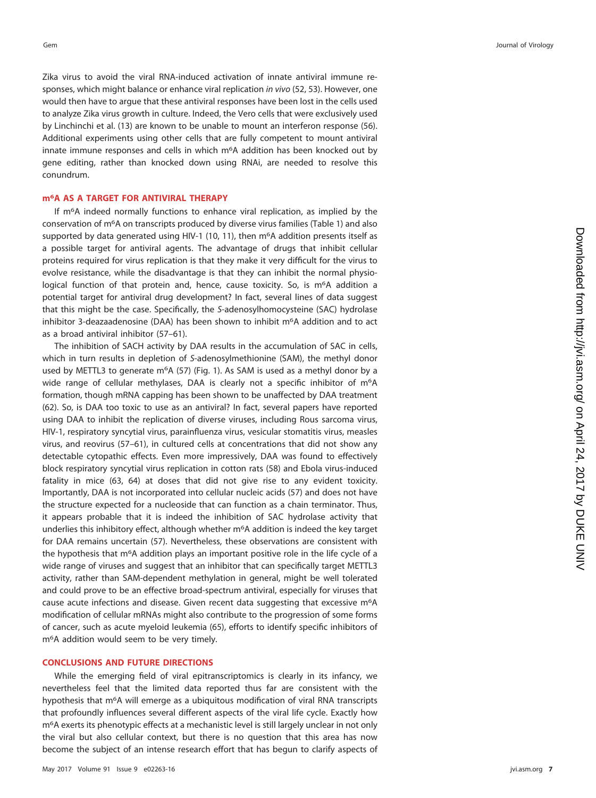Zika virus to avoid the viral RNA-induced activation of innate antiviral immune re-sponses, which might balance or enhance viral replication in vivo [\(52,](#page-8-24) [53\)](#page-8-25). However, one would then have to argue that these antiviral responses have been lost in the cells used to analyze Zika virus growth in culture. Indeed, the Vero cells that were exclusively used by Linchinchi et al. [\(13\)](#page-7-5) are known to be unable to mount an interferon response [\(56\)](#page-8-28). Additional experiments using other cells that are fully competent to mount antiviral innate immune responses and cells in which m 6A addition has been knocked out by gene editing, rather than knocked down using RNAi, are needed to resolve this conundrum.

## **m6A AS A TARGET FOR ANTIVIRAL THERAPY**

If m<sup>6</sup>A indeed normally functions to enhance viral replication, as implied by the conservation of m 6A on transcripts produced by diverse virus families [\(Table 1\)](#page-1-0) and also supported by data generated using HIV-1 [\(10](#page-7-6), [11\)](#page-7-23), then m<sup>6</sup>A addition presents itself as a possible target for antiviral agents. The advantage of drugs that inhibit cellular proteins required for virus replication is that they make it very difficult for the virus to evolve resistance, while the disadvantage is that they can inhibit the normal physiological function of that protein and, hence, cause toxicity. So, is m<sup>6</sup>A addition a potential target for antiviral drug development? In fact, several lines of data suggest that this might be the case. Specifically, the S-adenosylhomocysteine (SAC) hydrolase inhibitor 3-deazaadenosine (DAA) has been shown to inhibit m 6A addition and to act as a broad antiviral inhibitor [\(57](#page-8-29)[–](#page-8-30)[61\)](#page-8-31).

The inhibition of SACH activity by DAA results in the accumulation of SAC in cells, which in turn results in depletion of S-adenosylmethionine (SAM), the methyl donor used by METTL3 to generate m<sup>6</sup>A [\(57\)](#page-8-29) [\(Fig. 1\)](#page-2-0). As SAM is used as a methyl donor by a wide range of cellular methylases, DAA is clearly not a specific inhibitor of m<sup>6</sup>A formation, though mRNA capping has been shown to be unaffected by DAA treatment [\(62\)](#page-8-32). So, is DAA too toxic to use as an antiviral? In fact, several papers have reported using DAA to inhibit the replication of diverse viruses, including Rous sarcoma virus, HIV-1, respiratory syncytial virus, parainfluenza virus, vesicular stomatitis virus, measles virus, and reovirus [\(57](#page-8-29)[–](#page-8-30)[61\)](#page-8-31), in cultured cells at concentrations that did not show any detectable cytopathic effects. Even more impressively, DAA was found to effectively block respiratory syncytial virus replication in cotton rats [\(58\)](#page-8-33) and Ebola virus-induced fatality in mice [\(63](#page-9-0) , [64\)](#page-9-1) at doses that did not give rise to any evident toxicity. Importantly, DAA is not incorporated into cellular nucleic acids [\(57\)](#page-8-29) and does not have the structure expected for a nucleoside that can function as a chain terminator. Thus, it appears probable that it is indeed the inhibition of SAC hydrolase activity that underlies this inhibitory effect, although whether m 6A addition is indeed the key target for DAA remains uncertain [\(57\)](#page-8-29). Nevertheless, these observations are consistent with the hypothesis that m<sup>6</sup>A addition plays an important positive role in the life cycle of a wide range of viruses and suggest that an inhibitor that can specifically target METTL3 activity, rather than SAM-dependent methylation in general, might be well tolerated and could prove to be an effective broad-spectrum antiviral, especially for viruses that cause acute infections and disease. Given recent data suggesting that excessive m<sup>6</sup>A modification of cellular mRNAs might also contribute to the progression of some forms of cancer, such as acute myeloid leukemia [\(65\)](#page-9-2), efforts to identify specific inhibitors of m6A addition would seem to be very timely.

#### **CONCLUSIONS AND FUTURE DIRECTIONS**

While the emerging field of viral epitranscriptomics is clearly in its infancy, we nevertheless feel that the limited data reported thus far are consistent with the hypothesis that m<sup>6</sup>A will emerge as a ubiquitous modification of viral RNA transcripts that profoundly influences several different aspects of the viral life cycle. Exactly how m6A exerts its phenotypic effects at a mechanistic level is still largely unclear in not only the viral but also cellular context, but there is no question that this area has now become the subject of an intense research effort that has begun to clarify aspects of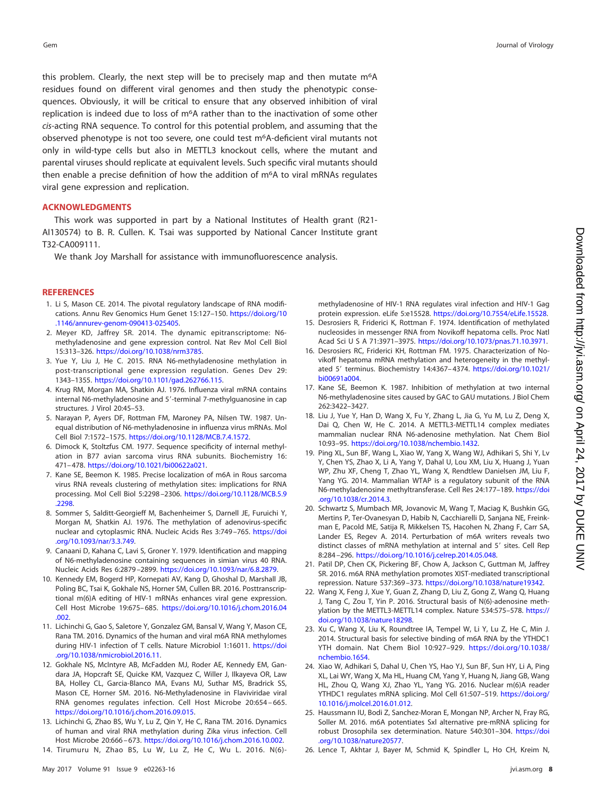this problem. Clearly, the next step will be to precisely map and then mutate m<sup>6</sup>A residues found on different viral genomes and then study the phenotypic consequences. Obviously, it will be critical to ensure that any observed inhibition of viral replication is indeed due to loss of m6A rather than to the inactivation of some other cis-acting RNA sequence. To control for this potential problem, and assuming that the observed phenotype is not too severe, one could test m6A-deficient viral mutants not only in wild-type cells but also in METTL3 knockout cells, where the mutant and parental viruses should replicate at equivalent levels. Such specific viral mutants should then enable a precise definition of how the addition of m6A to viral mRNAs regulates viral gene expression and replication.

#### **ACKNOWLEDGMENTS**

This work was supported in part by a National Institutes of Health grant (R21- AI130574) to B. R. Cullen. K. Tsai was supported by National Cancer Institute grant T32-CA009111.

We thank Joy Marshall for assistance with immunofluorescence analysis.

#### <span id="page-7-0"></span>**REFERENCES**

- 1. Li S, Mason CE. 2014. The pivotal regulatory landscape of RNA modifications. Annu Rev Genomics Hum Genet 15:127–150. [https://doi.org/10](https://doi.org/10.1146/annurev-genom-090413-025405) [.1146/annurev-genom-090413-025405.](https://doi.org/10.1146/annurev-genom-090413-025405)
- <span id="page-7-1"></span>2. Meyer KD, Jaffrey SR. 2014. The dynamic epitranscriptome: N6 methyladenosine and gene expression control. Nat Rev Mol Cell Biol 15:313–326. [https://doi.org/10.1038/nrm3785.](https://doi.org/10.1038/nrm3785)
- <span id="page-7-2"></span>3. Yue Y, Liu J, He C. 2015. RNA N6-methyladenosine methylation in post-transcriptional gene expression regulation. Genes Dev 29: 1343–1355. [https://doi.org/10.1101/gad.262766.115.](https://doi.org/10.1101/gad.262766.115)
- <span id="page-7-3"></span>4. Krug RM, Morgan MA, Shatkin AJ. 1976. Influenza viral mRNA contains internal N6-methyladenosine and 5'-terminal 7-methylguanosine in cap structures. J Virol 20:45–53.
- <span id="page-7-12"></span>5. Narayan P, Ayers DF, Rottman FM, Maroney PA, Nilsen TW. 1987. Unequal distribution of N6-methyladenosine in influenza virus mRNAs. Mol Cell Biol 7:1572–1575. [https://doi.org/10.1128/MCB.7.4.1572.](https://doi.org/10.1128/MCB.7.4.1572)
- <span id="page-7-22"></span><span id="page-7-13"></span>6. Dimock K, Stoltzfus CM. 1977. Sequence specificity of internal methylation in B77 avian sarcoma virus RNA subunits. Biochemistry 16: 471– 478. [https://doi.org/10.1021/bi00622a021.](https://doi.org/10.1021/bi00622a021)
- 7. Kane SE, Beemon K. 1985. Precise localization of m6A in Rous sarcoma virus RNA reveals clustering of methylation sites: implications for RNA processing. Mol Cell Biol 5:2298 –2306. [https://doi.org/10.1128/MCB.5.9](https://doi.org/10.1128/MCB.5.9.2298) [.2298.](https://doi.org/10.1128/MCB.5.9.2298)
- <span id="page-7-10"></span>8. Sommer S, Salditt-Georgieff M, Bachenheimer S, Darnell JE, Furuichi Y, Morgan M, Shatkin AJ. 1976. The methylation of adenovirus-specific nuclear and cytoplasmic RNA. Nucleic Acids Res 3:749-765. [https://doi](https://doi.org/10.1093/nar/3.3.749) [.org/10.1093/nar/3.3.749.](https://doi.org/10.1093/nar/3.3.749)
- <span id="page-7-11"></span>9. Canaani D, Kahana C, Lavi S, Groner Y. 1979. Identification and mapping of N6-methyladenosine containing sequences in simian virus 40 RNA. Nucleic Acids Res 6:2879 –2899. [https://doi.org/10.1093/nar/6.8.2879.](https://doi.org/10.1093/nar/6.8.2879)
- <span id="page-7-6"></span>10. Kennedy EM, Bogerd HP, Kornepati AV, Kang D, Ghoshal D, Marshall JB, Poling BC, Tsai K, Gokhale NS, Horner SM, Cullen BR. 2016. Posttranscriptional m(6)A editing of HIV-1 mRNAs enhances viral gene expression. Cell Host Microbe 19:675– 685. [https://doi.org/10.1016/j.chom.2016.04](https://doi.org/10.1016/j.chom.2016.04.002) [.002.](https://doi.org/10.1016/j.chom.2016.04.002)
- <span id="page-7-23"></span>11. Lichinchi G, Gao S, Saletore Y, Gonzalez GM, Bansal V, Wang Y, Mason CE, Rana TM. 2016. Dynamics of the human and viral m6A RNA methylomes during HIV-1 infection of T cells. Nature Microbiol 1:16011. [https://doi](https://doi.org/10.1038/nmicrobiol.2016.11) [.org/10.1038/nmicrobiol.2016.11.](https://doi.org/10.1038/nmicrobiol.2016.11)
- <span id="page-7-4"></span>12. Gokhale NS, McIntyre AB, McFadden MJ, Roder AE, Kennedy EM, Gandara JA, Hopcraft SE, Quicke KM, Vazquez C, Willer J, Ilkayeva OR, Law BA, Holley CL, Garcia-Blanco MA, Evans MJ, Suthar MS, Bradrick SS, Mason CE, Horner SM. 2016. N6-Methyladenosine in Flaviviridae viral RNA genomes regulates infection. Cell Host Microbe 20:654 – 665. [https://doi.org/10.1016/j.chom.2016.09.015.](https://doi.org/10.1016/j.chom.2016.09.015)
- <span id="page-7-7"></span><span id="page-7-5"></span>13. Lichinchi G, Zhao BS, Wu Y, Lu Z, Qin Y, He C, Rana TM. 2016. Dynamics of human and viral RNA methylation during Zika virus infection. Cell Host Microbe 20:666 – 673. [https://doi.org/10.1016/j.chom.2016.10.002.](https://doi.org/10.1016/j.chom.2016.10.002)
- 14. Tirumuru N, Zhao BS, Lu W, Lu Z, He C, Wu L. 2016. N(6)-

methyladenosine of HIV-1 RNA regulates viral infection and HIV-1 Gag protein expression. eLife 5:e15528. [https://doi.org/10.7554/eLife.15528.](https://doi.org/10.7554/eLife.15528)

- <span id="page-7-8"></span>15. Desrosiers R, Friderici K, Rottman F. 1974. Identification of methylated nucleosides in messenger RNA from Novikoff hepatoma cells. Proc Natl Acad SciUSA 71:3971–3975. [https://doi.org/10.1073/pnas.71.10.3971.](https://doi.org/10.1073/pnas.71.10.3971)
- <span id="page-7-9"></span>16. Desrosiers RC, Friderici KH, Rottman FM. 1975. Characterization of Novikoff hepatoma mRNA methylation and heterogeneity in the methylated 5' terminus. Biochemistry 14:4367-4374. [https://doi.org/10.1021/](https://doi.org/10.1021/bi00691a004) [bi00691a004.](https://doi.org/10.1021/bi00691a004)
- <span id="page-7-14"></span>17. Kane SE, Beemon K. 1987. Inhibition of methylation at two internal N6-methyladenosine sites caused by GAC to GAU mutations. J Biol Chem 262:3422–3427.
- <span id="page-7-15"></span>18. Liu J, Yue Y, Han D, Wang X, Fu Y, Zhang L, Jia G, Yu M, Lu Z, Deng X, Dai Q, Chen W, He C. 2014. A METTL3-METTL14 complex mediates mammalian nuclear RNA N6-adenosine methylation. Nat Chem Biol 10:93–95. [https://doi.org/10.1038/nchembio.1432.](https://doi.org/10.1038/nchembio.1432)
- 19. Ping XL, Sun BF, Wang L, Xiao W, Yang X, Wang WJ, Adhikari S, Shi Y, Lv Y, Chen YS, Zhao X, Li A, Yang Y, Dahal U, Lou XM, Liu X, Huang J, Yuan WP, Zhu XF, Cheng T, Zhao YL, Wang X, Rendtlew Danielsen JM, Liu F, Yang YG. 2014. Mammalian WTAP is a regulatory subunit of the RNA N6-methyladenosine methyltransferase. Cell Res 24:177–189. [https://doi](https://doi.org/10.1038/cr.2014.3) [.org/10.1038/cr.2014.3.](https://doi.org/10.1038/cr.2014.3)
- 20. Schwartz S, Mumbach MR, Jovanovic M, Wang T, Maciag K, Bushkin GG, Mertins P, Ter-Ovanesyan D, Habib N, Cacchiarelli D, Sanjana NE, Freinkman E, Pacold ME, Satija R, Mikkelsen TS, Hacohen N, Zhang F, Carr SA, Lander ES, Regev A. 2014. Perturbation of m6A writers reveals two distinct classes of mRNA methylation at internal and 5' sites. Cell Rep 8:284 –296. [https://doi.org/10.1016/j.celrep.2014.05.048.](https://doi.org/10.1016/j.celrep.2014.05.048)
- <span id="page-7-17"></span><span id="page-7-16"></span>21. Patil DP, Chen CK, Pickering BF, Chow A, Jackson C, Guttman M, Jaffrey SR. 2016. m6A RNA methylation promotes XIST-mediated transcriptional repression. Nature 537:369 –373. [https://doi.org/10.1038/nature19342.](https://doi.org/10.1038/nature19342)
- 22. Wang X, Feng J, Xue Y, Guan Z, Zhang D, Liu Z, Gong Z, Wang Q, Huang J, Tang C, Zou T, Yin P. 2016. Structural basis of N(6)-adenosine methylation by the METTL3-METTL14 complex. Nature 534:575–578. [https://](https://doi.org/10.1038/nature18298) [doi.org/10.1038/nature18298.](https://doi.org/10.1038/nature18298)
- <span id="page-7-18"></span>23. Xu C, Wang X, Liu K, Roundtree IA, Tempel W, Li Y, Lu Z, He C, Min J. 2014. Structural basis for selective binding of m6A RNA by the YTHDC1 YTH domain. Nat Chem Biol 10:927–929. [https://doi.org/10.1038/](https://doi.org/10.1038/nchembio.1654) [nchembio.1654.](https://doi.org/10.1038/nchembio.1654)
- <span id="page-7-21"></span>24. Xiao W, Adhikari S, Dahal U, Chen YS, Hao YJ, Sun BF, Sun HY, Li A, Ping XL, Lai WY, Wang X, Ma HL, Huang CM, Yang Y, Huang N, Jiang GB, Wang HL, Zhou Q, Wang XJ, Zhao YL, Yang YG. 2016. Nuclear m(6)A reader YTHDC1 regulates mRNA splicing. Mol Cell 61:507–519. [https://doi.org/](https://doi.org/10.1016/j.molcel.2016.01.012) [10.1016/j.molcel.2016.01.012.](https://doi.org/10.1016/j.molcel.2016.01.012)
- <span id="page-7-19"></span>25. Haussmann IU, Bodi Z, Sanchez-Moran E, Mongan NP, Archer N, Fray RG, Soller M. 2016. m6A potentiates Sxl alternative pre-mRNA splicing for robust Drosophila sex determination. Nature 540:301–304. [https://doi](https://doi.org/10.1038/nature20577) [.org/10.1038/nature20577.](https://doi.org/10.1038/nature20577)
- <span id="page-7-20"></span>26. Lence T, Akhtar J, Bayer M, Schmid K, Spindler L, Ho CH, Kreim N,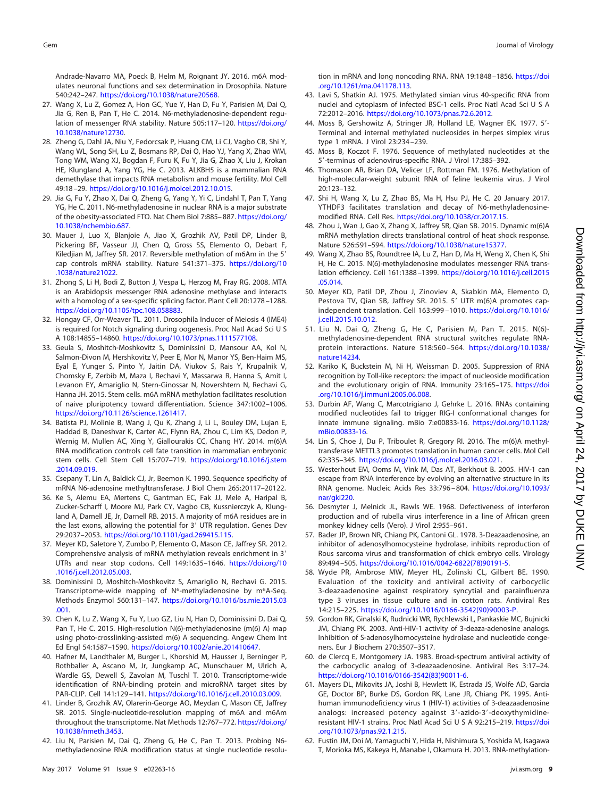Andrade-Navarro MA, Poeck B, Helm M, Roignant JY. 2016. m6A modulates neuronal functions and sex determination in Drosophila. Nature

- <span id="page-8-0"></span>540:242–247. [https://doi.org/10.1038/nature20568.](https://doi.org/10.1038/nature20568) 27. Wang X, Lu Z, Gomez A, Hon GC, Yue Y, Han D, Fu Y, Parisien M, Dai Q, Jia G, Ren B, Pan T, He C. 2014. N6-methyladenosine-dependent regulation of messenger RNA stability. Nature 505:117–120. [https://doi.org/](https://doi.org/10.1038/nature12730) [10.1038/nature12730.](https://doi.org/10.1038/nature12730)
- <span id="page-8-1"></span>28. Zheng G, Dahl JA, Niu Y, Fedorcsak P, Huang CM, Li CJ, Vagbo CB, Shi Y, Wang WL, Song SH, Lu Z, Bosmans RP, Dai Q, Hao YJ, Yang X, Zhao WM, Tong WM, Wang XJ, Bogdan F, Furu K, Fu Y, Jia G, Zhao X, Liu J, Krokan HE, Klungland A, Yang YG, He C. 2013. ALKBH5 is a mammalian RNA demethylase that impacts RNA metabolism and mouse fertility. Mol Cell 49:18 –29. [https://doi.org/10.1016/j.molcel.2012.10.015.](https://doi.org/10.1016/j.molcel.2012.10.015)
- <span id="page-8-2"></span>29. Jia G, Fu Y, Zhao X, Dai Q, Zheng G, Yang Y, Yi C, Lindahl T, Pan T, Yang YG, He C. 2011. N6-methyladenosine in nuclear RNA is a major substrate of the obesity-associated FTO. Nat Chem Biol 7:885– 887. [https://doi.org/](https://doi.org/10.1038/nchembio.687) [10.1038/nchembio.687.](https://doi.org/10.1038/nchembio.687)
- <span id="page-8-3"></span>30. Mauer J, Luo X, Blanjoie A, Jiao X, Grozhik AV, Patil DP, Linder B, Pickering BF, Vasseur JJ, Chen Q, Gross SS, Elemento O, Debart F, Kiledjian M, Jaffrey SR. 2017. Reversible methylation of m6Am in the 5' cap controls mRNA stability. Nature 541:371–375. [https://doi.org/10](https://doi.org/10.1038/nature21022) [.1038/nature21022.](https://doi.org/10.1038/nature21022)
- <span id="page-8-4"></span>31. Zhong S, Li H, Bodi Z, Button J, Vespa L, Herzog M, Fray RG. 2008. MTA is an Arabidopsis messenger RNA adenosine methylase and interacts with a homolog of a sex-specific splicing factor. Plant Cell 20:1278 –1288. [https://doi.org/10.1105/tpc.108.058883.](https://doi.org/10.1105/tpc.108.058883)
- <span id="page-8-5"></span>32. Hongay CF, Orr-Weaver TL. 2011. Drosophila Inducer of Meiosis 4 (IME4) is required for Notch signaling during oogenesis. Proc Natl Acad Sci U S A 108:14855–14860. [https://doi.org/10.1073/pnas.1111577108.](https://doi.org/10.1073/pnas.1111577108)
- <span id="page-8-6"></span>33. Geula S, Moshitch-Moshkovitz S, Dominissini D, Mansour AA, Kol N, Salmon-Divon M, Hershkovitz V, Peer E, Mor N, Manor YS, Ben-Haim MS, Eyal E, Yunger S, Pinto Y, Jaitin DA, Viukov S, Rais Y, Krupalnik V, Chomsky E, Zerbib M, Maza I, Rechavi Y, Massarwa R, Hanna S, Amit I, Levanon EY, Amariglio N, Stern-Ginossar N, Novershtern N, Rechavi G, Hanna JH. 2015. Stem cells. m6A mRNA methylation facilitates resolution of naive pluripotency toward differentiation. Science 347:1002–1006. [https://doi.org/10.1126/science.1261417.](https://doi.org/10.1126/science.1261417)
- <span id="page-8-7"></span>34. Batista PJ, Molinie B, Wang J, Qu K, Zhang J, Li L, Bouley DM, Lujan E, Haddad B, Daneshvar K, Carter AC, Flynn RA, Zhou C, Lim KS, Dedon P, Wernig M, Mullen AC, Xing Y, Giallourakis CC, Chang HY. 2014. m(6)A RNA modification controls cell fate transition in mammalian embryonic stem cells. Cell Stem Cell 15:707-719. [https://doi.org/10.1016/j.stem](https://doi.org/10.1016/j.stem.2014.09.019) [.2014.09.019.](https://doi.org/10.1016/j.stem.2014.09.019)
- <span id="page-8-13"></span><span id="page-8-12"></span>35. Csepany T, Lin A, Baldick CJ, Jr, Beemon K. 1990. Sequence specificity of mRNA N6-adenosine methyltransferase. J Biol Chem 265:20117–20122.
- 36. Ke S, Alemu EA, Mertens C, Gantman EC, Fak JJ, Mele A, Haripal B, Zucker-Scharff I, Moore MJ, Park CY, Vagbo CB, Kussnierczyk A, Klungland A, Darnell JE, Jr, Darnell RB. 2015. A majority of m6A residues are in the last exons, allowing the potential for 3' UTR regulation. Genes Dev 29:2037–2053. [https://doi.org/10.1101/gad.269415.115.](https://doi.org/10.1101/gad.269415.115)
- <span id="page-8-14"></span>37. Meyer KD, Saletore Y, Zumbo P, Elemento O, Mason CE, Jaffrey SR. 2012. Comprehensive analysis of mRNA methylation reveals enrichment in 3' UTRs and near stop codons. Cell 149:1635–1646. [https://doi.org/10](https://doi.org/10.1016/j.cell.2012.05.003) [.1016/j.cell.2012.05.003.](https://doi.org/10.1016/j.cell.2012.05.003)
- <span id="page-8-15"></span>38. Dominissini D, Moshitch-Moshkovitz S, Amariglio N, Rechavi G. 2015. Transcriptome-wide mapping of N<sup>6</sup>-methyladenosine by m<sup>6</sup>A-Seq. Methods Enzymol 560:131–147. [https://doi.org/10.1016/bs.mie.2015.03](https://doi.org/10.1016/bs.mie.2015.03.001) [.001.](https://doi.org/10.1016/bs.mie.2015.03.001)
- <span id="page-8-16"></span>39. Chen K, Lu Z, Wang X, Fu Y, Luo GZ, Liu N, Han D, Dominissini D, Dai Q, Pan T, He C. 2015. High-resolution N(6)-methyladenosine (m(6) A) map using photo-crosslinking-assisted m(6) A sequencing. Angew Chem Int Ed Engl 54:1587–1590. [https://doi.org/10.1002/anie.201410647.](https://doi.org/10.1002/anie.201410647)
- <span id="page-8-17"></span>40. Hafner M, Landthaler M, Burger L, Khorshid M, Hausser J, Berninger P, Rothballer A, Ascano M, Jr, Jungkamp AC, Munschauer M, Ulrich A, Wardle GS, Dewell S, Zavolan M, Tuschl T. 2010. Transcriptome-wide identification of RNA-binding protein and microRNA target sites by PAR-CLIP. Cell 141:129 –141. [https://doi.org/10.1016/j.cell.2010.03.009.](https://doi.org/10.1016/j.cell.2010.03.009)
- <span id="page-8-18"></span>41. Linder B, Grozhik AV, Olarerin-George AO, Meydan C, Mason CE, Jaffrey SR. 2015. Single-nucleotide-resolution mapping of m6A and m6Am throughout the transcriptome. Nat Methods 12:767–772. [https://doi.org/](https://doi.org/10.1038/nmeth.3453) [10.1038/nmeth.3453.](https://doi.org/10.1038/nmeth.3453)
- <span id="page-8-19"></span>42. Liu N, Parisien M, Dai Q, Zheng G, He C, Pan T. 2013. Probing N6 methyladenosine RNA modification status at single nucleotide resolu-

tion in mRNA and long noncoding RNA. RNA 19:1848 –1856. [https://doi](https://doi.org/10.1261/rna.041178.113) [.org/10.1261/rna.041178.113.](https://doi.org/10.1261/rna.041178.113)

- <span id="page-8-10"></span>43. Lavi S, Shatkin AJ. 1975. Methylated simian virus 40-specific RNA from nuclei and cytoplasm of infected BSC-1 cells. Proc Natl Acad Sci U S A 72:2012–2016. [https://doi.org/10.1073/pnas.72.6.2012.](https://doi.org/10.1073/pnas.72.6.2012)
- <span id="page-8-11"></span>44. Moss B, Gershowitz A, Stringer JR, Holland LE, Wagner EK. 1977. 5'-Terminal and internal methylated nucleosides in herpes simplex virus type 1 mRNA. J Virol 23:234 –239.
- <span id="page-8-9"></span><span id="page-8-8"></span>45. Moss B, Koczot F. 1976. Sequence of methylated nucleotides at the 5'-terminus of adenovirus-specific RNA. J Virol 17:385-392.
- 46. Thomason AR, Brian DA, Velicer LF, Rottman FM. 1976. Methylation of high-molecular-weight subunit RNA of feline leukemia virus. J Virol 20:123–132.
- <span id="page-8-20"></span>47. Shi H, Wang X, Lu Z, Zhao BS, Ma H, Hsu PJ, He C. 20 January 2017. YTHDF3 facilitates translation and decay of N6-methyladenosinemodified RNA. Cell Res. [https://doi.org/10.1038/cr.2017.15.](https://doi.org/10.1038/cr.2017.15)
- 48. Zhou J, Wan J, Gao X, Zhang X, Jaffrey SR, Qian SB. 2015. Dynamic m(6)A mRNA methylation directs translational control of heat shock response. Nature 526:591–594. [https://doi.org/10.1038/nature15377.](https://doi.org/10.1038/nature15377)
- <span id="page-8-21"></span>49. Wang X, Zhao BS, Roundtree IA, Lu Z, Han D, Ma H, Weng X, Chen K, Shi H, He C. 2015. N(6)-methyladenosine modulates messenger RNA translation efficiency. Cell 161:1388 –1399. [https://doi.org/10.1016/j.cell.2015](https://doi.org/10.1016/j.cell.2015.05.014) [.05.014.](https://doi.org/10.1016/j.cell.2015.05.014)
- <span id="page-8-22"></span>50. Meyer KD, Patil DP, Zhou J, Zinoviev A, Skabkin MA, Elemento O, Pestova TV, Qian SB, Jaffrey SR. 2015. 5' UTR m(6)A promotes capindependent translation. Cell 163:999 –1010. [https://doi.org/10.1016/](https://doi.org/10.1016/j.cell.2015.10.012) [j.cell.2015.10.012.](https://doi.org/10.1016/j.cell.2015.10.012)
- <span id="page-8-23"></span>51. Liu N, Dai Q, Zheng G, He C, Parisien M, Pan T. 2015. N(6) methyladenosine-dependent RNA structural switches regulate RNAprotein interactions. Nature 518:560 –564. [https://doi.org/10.1038/](https://doi.org/10.1038/nature14234) [nature14234.](https://doi.org/10.1038/nature14234)
- <span id="page-8-24"></span>52. Kariko K, Buckstein M, Ni H, Weissman D. 2005. Suppression of RNA recognition by Toll-like receptors: the impact of nucleoside modification and the evolutionary origin of RNA. Immunity 23:165–175. [https://doi](https://doi.org/10.1016/j.immuni.2005.06.008) [.org/10.1016/j.immuni.2005.06.008.](https://doi.org/10.1016/j.immuni.2005.06.008)
- <span id="page-8-25"></span>53. Durbin AF, Wang C, Marcotrigiano J, Gehrke L. 2016. RNAs containing modified nucleotides fail to trigger RIG-I conformational changes for innate immune signaling. mBio 7:e00833-16. [https://doi.org/10.1128/](https://doi.org/10.1128/mBio.00833-16) [mBio.00833-16.](https://doi.org/10.1128/mBio.00833-16)
- <span id="page-8-27"></span><span id="page-8-26"></span>54. Lin S, Choe J, Du P, Triboulet R, Gregory RI. 2016. The m(6)A methyltransferase METTL3 promotes translation in human cancer cells. Mol Cell 62:335–345. [https://doi.org/10.1016/j.molcel.2016.03.021.](https://doi.org/10.1016/j.molcel.2016.03.021)
- 55. Westerhout EM, Ooms M, Vink M, Das AT, Berkhout B. 2005. HIV-1 can escape from RNA interference by evolving an alternative structure in its RNA genome. Nucleic Acids Res 33:796 – 804. [https://doi.org/10.1093/](https://doi.org/10.1093/nar/gki220) [nar/gki220.](https://doi.org/10.1093/nar/gki220)
- <span id="page-8-28"></span>56. Desmyter J, Melnick JL, Rawls WE. 1968. Defectiveness of interferon production and of rubella virus interference in a line of African green monkey kidney cells (Vero). J Virol 2:955–961.
- <span id="page-8-29"></span>57. Bader JP, Brown NR, Chiang PK, Cantoni GL. 1978. 3-Deazaadenosine, an inhibitor of adenosylhomocysteine hydrolase, inhibits reproduction of Rous sarcoma virus and transformation of chick embryo cells. Virology 89:494 –505. [https://doi.org/10.1016/0042-6822\(78\)90191-5.](https://doi.org/10.1016/0042-6822(78)90191-5)
- <span id="page-8-33"></span>58. Wyde PR, Ambrose MW, Meyer HL, Zolinski CL, Gilbert BE. 1990. Evaluation of the toxicity and antiviral activity of carbocyclic 3-deazaadenosine against respiratory syncytial and parainfluenza type 3 viruses in tissue culture and in cotton rats. Antiviral Res 14:215–225. [https://doi.org/10.1016/0166-3542\(90\)90003-P.](https://doi.org/10.1016/0166-3542(90)90003-P)
- 59. Gordon RK, Ginalski K, Rudnicki WR, Rychlewski L, Pankaskie MC, Bujnicki JM, Chiang PK. 2003. Anti-HIV-1 activity of 3-deaza-adenosine analogs. Inhibition of S-adenosylhomocysteine hydrolase and nucleotide congeners. Eur J Biochem 270:3507–3517.
- <span id="page-8-31"></span><span id="page-8-30"></span>60. de Clercq E, Montgomery JA. 1983. Broad-spectrum antiviral activity of the carbocyclic analog of 3-deazaadenosine. Antiviral Res 3:17–24. [https://doi.org/10.1016/0166-3542\(83\)90011-6.](https://doi.org/10.1016/0166-3542(83)90011-6)
- 61. Mayers DL, Mikovits JA, Joshi B, Hewlett IK, Estrada JS, Wolfe AD, Garcia GE, Doctor BP, Burke DS, Gordon RK, Lane JR, Chiang PK. 1995. Antihuman immunodeficiency virus 1 (HIV-1) activities of 3-deazaadenosine analogs: increased potency against 3'-azido-3'-deoxythymidineresistant HIV-1 strains. Proc Natl Acad Sci U S A 92:215-219. [https://doi](https://doi.org/10.1073/pnas.92.1.215) [.org/10.1073/pnas.92.1.215.](https://doi.org/10.1073/pnas.92.1.215)
- <span id="page-8-32"></span>62. Fustin JM, Doi M, Yamaguchi Y, Hida H, Nishimura S, Yoshida M, Isagawa T, Morioka MS, Kakeya H, Manabe I, Okamura H. 2013. RNA-methylation-